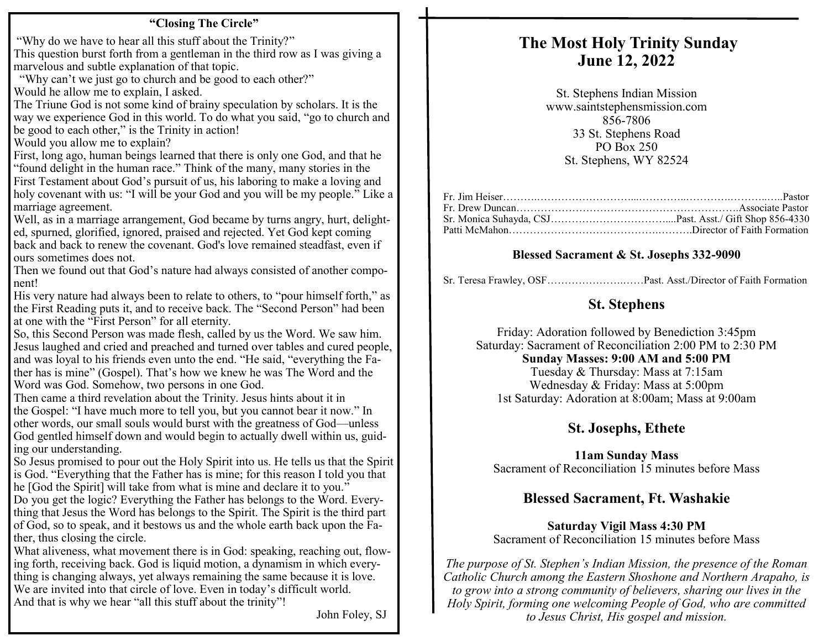#### **"Closing The Circle"**

"Why do we have to hear all this stuff about the Trinity?" This question burst forth from a gentleman in the third row as I was giving a marvelous and subtle explanation of that topic.

 "Why can't we just go to church and be good to each other?" Would he allow me to explain, I asked.

The Triune God is not some kind of brainy speculation by scholars. It is the way we experience God in this world. To do what you said, "go to church and be good to each other," is the Trinity in action!

Would you allow me to explain?

First, long ago, human beings learned that there is only one God, and that he "found delight in the human race." Think of the many, many stories in the First Testament about God's pursuit of us, his laboring to make a loving and holy covenant with us: "I will be your God and you will be my people." Like a marriage agreement.

Well, as in a marriage arrangement, God became by turns angry, hurt, delighted, spurned, glorified, ignored, praised and rejected. Yet God kept coming back and back to renew the covenant. God's love remained steadfast, even if ours sometimes does not.

Then we found out that God's nature had always consisted of another component!

His very nature had always been to relate to others, to "pour himself forth," as the First Reading puts it, and to receive back. The "Second Person" had been at one with the "First Person" for all eternity.

So, this Second Person was made flesh, called by us the Word. We saw him. Jesus laughed and cried and preached and turned over tables and cured people, and was loyal to his friends even unto the end. "He said, "everything the Father has is mine" (Gospel). That's how we knew he was The Word and the Word was God. Somehow, two persons in one God.

Then came a third revelation about the Trinity. Jesus hints about it in the Gospel: "I have much more to tell you, but you cannot bear it now." In other words, our small souls would burst with the greatness of God—unless God gentled himself down and would begin to actually dwell within us, guiding our understanding.

So Jesus promised to pour out the Holy Spirit into us. He tells us that the Spirit is God. "Everything that the Father has is mine; for this reason I told you that he [God the Spirit] will take from what is mine and declare it to you."

Do you get the logic? Everything the Father has belongs to the Word. Everything that Jesus the Word has belongs to the Spirit. The Spirit is the third part of God, so to speak, and it bestows us and the whole earth back upon the Father, thus closing the circle.

What aliveness, what movement there is in God: speaking, reaching out, flowing forth, receiving back. God is liquid motion, a dynamism in which everything is changing always, yet always remaining the same because it is love. We are invited into that circle of love. Even in today's difficult world. And that is why we hear "all this stuff about the trinity"!

John Foley, SJ

### **The Most Holy Trinity Sunday June 12, 2022**

St. Stephens Indian Mission www.saintstephensmission.com 856-7806 33 St. Stephens Road PO Box 250 St. Stephens, WY 82524

#### **Blessed Sacrament & St. Josephs 332-9090**

Sr. Teresa Frawley, OSF………………….……Past. Asst./Director of Faith Formation

#### **St. Stephens**

Friday: Adoration followed by Benediction 3:45pm Saturday: Sacrament of Reconciliation 2:00 PM to 2:30 PM **Sunday Masses: 9:00 AM and 5:00 PM**  Tuesday & Thursday: Mass at 7:15am Wednesday & Friday: Mass at 5:00pm 1st Saturday: Adoration at 8:00am; Mass at 9:00am

#### **St. Josephs, Ethete**

**11am Sunday Mass**  Sacrament of Reconciliation 15 minutes before Mass

#### **Blessed Sacrament, Ft. Washakie**

**Saturday Vigil Mass 4:30 PM**  Sacrament of Reconciliation 15 minutes before Mass

*The purpose of St. Stephen's Indian Mission, the presence of the Roman Catholic Church among the Eastern Shoshone and Northern Arapaho, is to grow into a strong community of believers, sharing our lives in the Holy Spirit, forming one welcoming People of God, who are committed to Jesus Christ, His gospel and mission.*